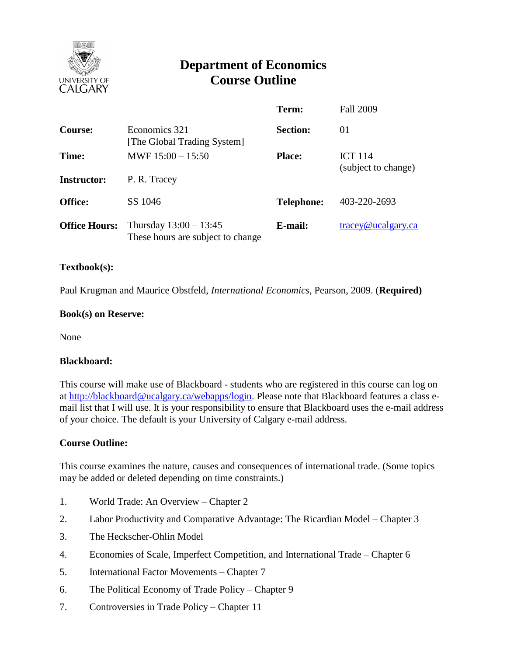

# **Department of Economics Course Outline**

|                      |                                                               | Term:             | <b>Fall 2009</b>                      |
|----------------------|---------------------------------------------------------------|-------------------|---------------------------------------|
| <b>Course:</b>       | Economics 321<br>[The Global Trading System]                  | <b>Section:</b>   | 01                                    |
| Time:                | MWF $15:00 - 15:50$                                           | <b>Place:</b>     | <b>ICT 114</b><br>(subject to change) |
| <b>Instructor:</b>   | P. R. Tracey                                                  |                   |                                       |
| <b>Office:</b>       | SS 1046                                                       | <b>Telephone:</b> | 403-220-2693                          |
| <b>Office Hours:</b> | Thursday $13:00 - 13:45$<br>These hours are subject to change | E-mail:           | tracey@ucalgary.ca                    |

## **Textbook(s):**

Paul Krugman and Maurice Obstfeld, *International Economics*, Pearson, 2009. (**Required)**

## **Book(s) on Reserve:**

None

#### **Blackboard:**

This course will make use of Blackboard - students who are registered in this course can log on at [http://blackboard@ucalgary.ca/webapps/login.](http://blackboard@ucalgary.ca/webapps/login) Please note that Blackboard features a class email list that I will use. It is your responsibility to ensure that Blackboard uses the e-mail address of your choice. The default is your University of Calgary e-mail address.

# **Course Outline:**

This course examines the nature, causes and consequences of international trade. (Some topics may be added or deleted depending on time constraints.)

- 1. World Trade: An Overview Chapter 2
- 2. Labor Productivity and Comparative Advantage: The Ricardian Model Chapter 3
- 3. The Heckscher-Ohlin Model
- 4. Economies of Scale, Imperfect Competition, and International Trade Chapter 6
- 5. International Factor Movements Chapter 7
- 6. The Political Economy of Trade Policy Chapter 9
- 7. Controversies in Trade Policy Chapter 11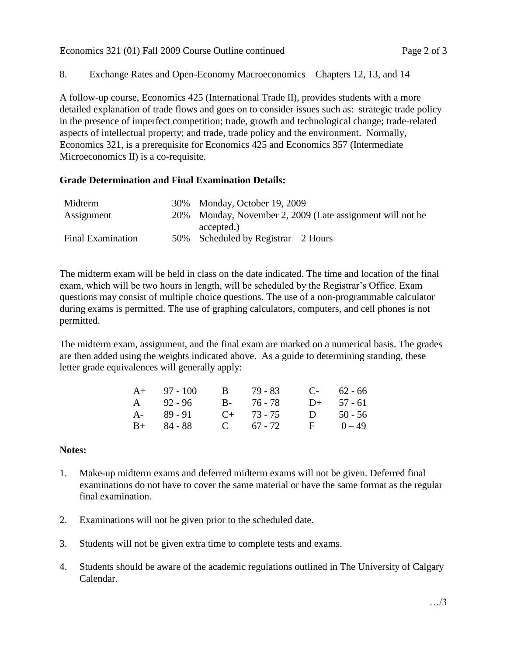Economics 321 (01) Fall 2009 Course Outline continued Page 2 of 3

8. Exchange Rates and Open-Economy Macroeconomics – Chapters 12, 13, and 14

A follow-up course, Economics 425 (International Trade II), provides students with a more detailed explanation of trade flows and goes on to consider issues such as: strategic trade policy in the presence of imperfect competition; trade, growth and technological change; trade-related aspects of intellectual property; and trade, trade policy and the environment. Normally, Economics 321, is a prerequisite for Economics 425 and Economics 357 (Intermediate Microeconomics II) is a co-requisite.

# **Grade Determination and Final Examination Details:**

| 30% Monday, October 19, 2009                              |
|-----------------------------------------------------------|
| 20% Monday, November 2, 2009 (Late assignment will not be |
| accepted.)                                                |
| 50% Scheduled by Registrar $-2$ Hours                     |
|                                                           |

The midterm exam will be held in class on the date indicated. The time and location of the final exam, which will be two hours in length, will be scheduled by the Registrar's Office. Exam questions may consist of multiple choice questions. The use of a non-programmable calculator during exams is permitted. The use of graphing calculators, computers, and cell phones is not permitted.

The midterm exam, assignment, and the final exam are marked on a numerical basis. The grades are then added using the weights indicated above. As a guide to determining standing, these letter grade equivalences will generally apply:

| $A+ 97-100$   | B 79 - 83       |   | $C-$ 62 - 66 |
|---------------|-----------------|---|--------------|
| A 92 - 96     | B- 76-78        |   | $D+ 57 - 61$ |
| $A - 89 - 91$ | $C_{+}$ 73 - 75 | D | $50 - 56$    |
| $B+ 84 - 88$  | C $67 - 72$     |   | $F = 0-49$   |

# **Notes:**

- 1. Make-up midterm exams and deferred midterm exams will not be given. Deferred final examinations do not have to cover the same material or have the same format as the regular final examination.
- 2. Examinations will not be given prior to the scheduled date.
- 3. Students will not be given extra time to complete tests and exams.
- 4. Students should be aware of the academic regulations outlined in The University of Calgary Calendar.